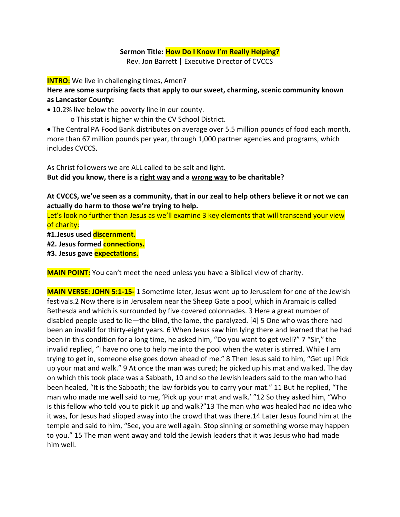#### Sermon Title: How Do I Know I'm Really Helping?

Rev. Jon Barrett | Executive Director of CVCCS

**INTRO:** We live in challenging times, Amen?

Here are some surprising facts that apply to our sweet, charming, scenic community known as Lancaster County:

10.2% live below the poverty line in our county.

o This stat is higher within the CV School District.

 The Central PA Food Bank distributes on average over 5.5 million pounds of food each month, more than 67 million pounds per year, through 1,000 partner agencies and programs, which includes CVCCS.

As Christ followers we are ALL called to be salt and light. But did you know, there is a right way and a wrong way to be charitable?

At CVCCS, we've seen as a community, that in our zeal to help others believe it or not we can actually do harm to those we're trying to help.

Let's look no further than Jesus as we'll examine 3 key elements that will transcend your view of charity:

#1.Jesus used discernment.

#2. Jesus formed connections.

#3. Jesus gave expectations.

MAIN POINT: You can't meet the need unless you have a Biblical view of charity.

MAIN VERSE: JOHN 5:1-15-1 Sometime later, Jesus went up to Jerusalem for one of the Jewish festivals.2 Now there is in Jerusalem near the Sheep Gate a pool, which in Aramaic is called Bethesda and which is surrounded by five covered colonnades. 3 Here a great number of disabled people used to lie—the blind, the lame, the paralyzed. [4] 5 One who was there had been an invalid for thirty-eight years. 6 When Jesus saw him lying there and learned that he had been in this condition for a long time, he asked him, "Do you want to get well?" 7 "Sir," the invalid replied, "I have no one to help me into the pool when the water is stirred. While I am trying to get in, someone else goes down ahead of me." 8 Then Jesus said to him, "Get up! Pick up your mat and walk." 9 At once the man was cured; he picked up his mat and walked. The day on which this took place was a Sabbath, 10 and so the Jewish leaders said to the man who had been healed, "It is the Sabbath; the law forbids you to carry your mat." 11 But he replied, "The man who made me well said to me, 'Pick up your mat and walk.' "12 So they asked him, "Who is this fellow who told you to pick it up and walk?"13 The man who was healed had no idea who it was, for Jesus had slipped away into the crowd that was there.14 Later Jesus found him at the temple and said to him, "See, you are well again. Stop sinning or something worse may happen to you." 15 The man went away and told the Jewish leaders that it was Jesus who had made him well.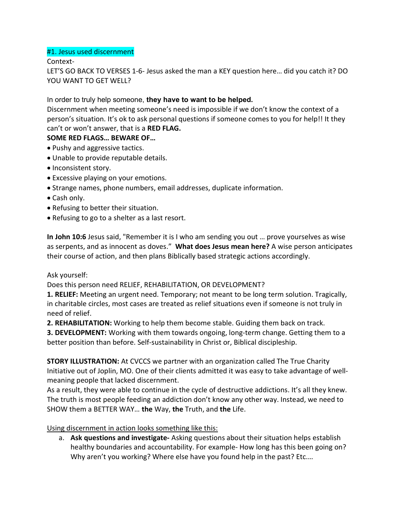#### #1. Jesus used discernment

#### Context-

LET'S GO BACK TO VERSES 1-6- Jesus asked the man a KEY question here… did you catch it? DO YOU WANT TO GET WELL?

In order to truly help someone, they have to want to be helped.

Discernment when meeting someone's need is impossible if we don't know the context of a person's situation. It's ok to ask personal questions if someone comes to you for help!! It they can't or won't answer, that is a RED FLAG.

# SOME RED FLAGS… BEWARE OF…

- Pushy and aggressive tactics.
- Unable to provide reputable details.
- Inconsistent story.
- Excessive playing on your emotions.
- Strange names, phone numbers, email addresses, duplicate information.
- Cash only.
- Refusing to better their situation.
- Refusing to go to a shelter as a last resort.

In John 10:6 Jesus said, "Remember it is I who am sending you out ... prove yourselves as wise as serpents, and as innocent as doves." What does Jesus mean here? A wise person anticipates their course of action, and then plans Biblically based strategic actions accordingly.

Ask yourself:

Does this person need RELIEF, REHABILITATION, OR DEVELOPMENT?

1. RELIEF: Meeting an urgent need. Temporary; not meant to be long term solution. Tragically, in charitable circles, most cases are treated as relief situations even if someone is not truly in need of relief.

2. REHABILITATION: Working to help them become stable. Guiding them back on track.

3. DEVELOPMENT: Working with them towards ongoing, long-term change. Getting them to a better position than before. Self-sustainability in Christ or, Biblical discipleship.

STORY ILLUSTRATION: At CVCCS we partner with an organization called The True Charity Initiative out of Joplin, MO. One of their clients admitted it was easy to take advantage of wellmeaning people that lacked discernment.

As a result, they were able to continue in the cycle of destructive addictions. It's all they knew. The truth is most people feeding an addiction don't know any other way. Instead, we need to SHOW them a BETTER WAY... the Way, the Truth, and the Life.

Using discernment in action looks something like this:

a. Ask questions and investigate- Asking questions about their situation helps establish healthy boundaries and accountability. For example- How long has this been going on? Why aren't you working? Where else have you found help in the past? Etc.…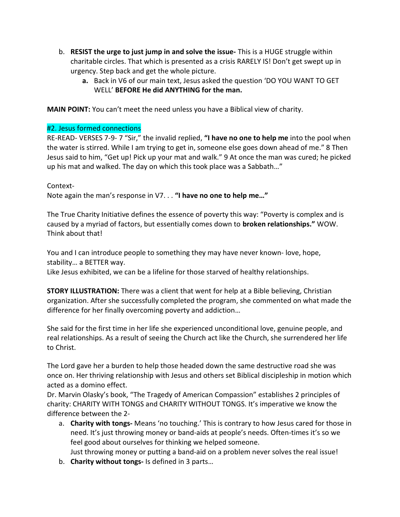- b. RESIST the urge to just jump in and solve the issue- This is a HUGE struggle within charitable circles. That which is presented as a crisis RARELY IS! Don't get swept up in urgency. Step back and get the whole picture.
	- a. Back in V6 of our main text, Jesus asked the question 'DO YOU WANT TO GET WELL' BEFORE He did ANYTHING for the man.

MAIN POINT: You can't meet the need unless you have a Biblical view of charity.

# #2. Jesus formed connections

RE-READ- VERSES 7-9- 7 "Sir," the invalid replied, "I have no one to help me into the pool when the water is stirred. While I am trying to get in, someone else goes down ahead of me." 8 Then Jesus said to him, "Get up! Pick up your mat and walk." 9 At once the man was cured; he picked up his mat and walked. The day on which this took place was a Sabbath…"

Context-Note again the man's response in V7. . . "I have no one to help me..."

The True Charity Initiative defines the essence of poverty this way: "Poverty is complex and is caused by a myriad of factors, but essentially comes down to broken relationships." WOW. Think about that!

You and I can introduce people to something they may have never known- love, hope, stability… a BETTER way.

Like Jesus exhibited, we can be a lifeline for those starved of healthy relationships.

**STORY ILLUSTRATION:** There was a client that went for help at a Bible believing, Christian organization. After she successfully completed the program, she commented on what made the difference for her finally overcoming poverty and addiction…

She said for the first time in her life she experienced unconditional love, genuine people, and real relationships. As a result of seeing the Church act like the Church, she surrendered her life to Christ.

The Lord gave her a burden to help those headed down the same destructive road she was once on. Her thriving relationship with Jesus and others set Biblical discipleship in motion which acted as a domino effect.

Dr. Marvin Olasky's book, "The Tragedy of American Compassion" establishes 2 principles of charity: CHARITY WITH TONGS and CHARITY WITHOUT TONGS. It's imperative we know the difference between the 2-

- a. Charity with tongs-Means 'no touching.' This is contrary to how Jesus cared for those in need. It's just throwing money or band-aids at people's needs. Often-times it's so we feel good about ourselves for thinking we helped someone.
- Just throwing money or putting a band-aid on a problem never solves the real issue! b. Charity without tongs- Is defined in 3 parts…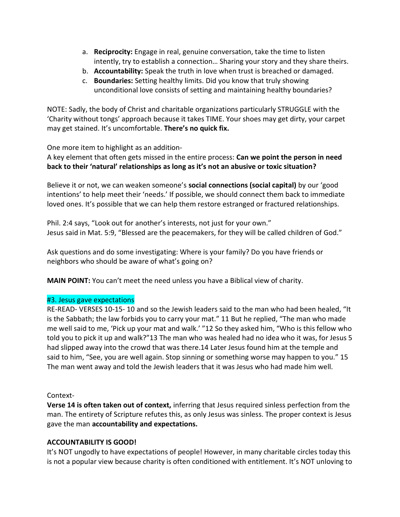- a. Reciprocity: Engage in real, genuine conversation, take the time to listen intently, try to establish a connection… Sharing your story and they share theirs.
- b. Accountability: Speak the truth in love when trust is breached or damaged.
- c. Boundaries: Setting healthy limits. Did you know that truly showing unconditional love consists of setting and maintaining healthy boundaries?

NOTE: Sadly, the body of Christ and charitable organizations particularly STRUGGLE with the 'Charity without tongs' approach because it takes TIME. Your shoes may get dirty, your carpet may get stained. It's uncomfortable. There's no quick fix.

One more item to highlight as an addition-

A key element that often gets missed in the entire process: Can we point the person in need back to their 'natural' relationships as long as it's not an abusive or toxic situation?

Believe it or not, we can weaken someone's social connections (social capital) by our 'good intentions' to help meet their 'needs.' If possible, we should connect them back to immediate loved ones. It's possible that we can help them restore estranged or fractured relationships.

Phil. 2:4 says, "Look out for another's interests, not just for your own." Jesus said in Mat. 5:9, "Blessed are the peacemakers, for they will be called children of God."

Ask questions and do some investigating: Where is your family? Do you have friends or neighbors who should be aware of what's going on?

MAIN POINT: You can't meet the need unless you have a Biblical view of charity.

# #3. Jesus gave expectations

RE-READ- VERSES 10-15- 10 and so the Jewish leaders said to the man who had been healed, "It is the Sabbath; the law forbids you to carry your mat." 11 But he replied, "The man who made me well said to me, 'Pick up your mat and walk.' "12 So they asked him, "Who is this fellow who told you to pick it up and walk?"13 The man who was healed had no idea who it was, for Jesus 5 had slipped away into the crowd that was there.14 Later Jesus found him at the temple and said to him, "See, you are well again. Stop sinning or something worse may happen to you." 15 The man went away and told the Jewish leaders that it was Jesus who had made him well.

# Context-

Verse 14 is often taken out of context, inferring that Jesus required sinless perfection from the man. The entirety of Scripture refutes this, as only Jesus was sinless. The proper context is Jesus gave the man accountability and expectations.

# ACCOUNTABILITY IS GOOD!

It's NOT ungodly to have expectations of people! However, in many charitable circles today this is not a popular view because charity is often conditioned with entitlement. It's NOT unloving to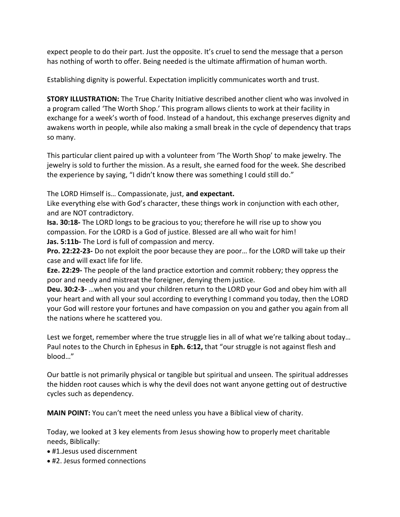expect people to do their part. Just the opposite. It's cruel to send the message that a person has nothing of worth to offer. Being needed is the ultimate affirmation of human worth.

Establishing dignity is powerful. Expectation implicitly communicates worth and trust.

STORY ILLUSTRATION: The True Charity Initiative described another client who was involved in a program called 'The Worth Shop.' This program allows clients to work at their facility in exchange for a week's worth of food. Instead of a handout, this exchange preserves dignity and awakens worth in people, while also making a small break in the cycle of dependency that traps so many.

This particular client paired up with a volunteer from 'The Worth Shop' to make jewelry. The jewelry is sold to further the mission. As a result, she earned food for the week. She described the experience by saying, "I didn't know there was something I could still do."

The LORD Himself is… Compassionate, just, and expectant.

Like everything else with God's character, these things work in conjunction with each other, and are NOT contradictory.

Isa. 30:18- The LORD longs to be gracious to you; therefore he will rise up to show you compassion. For the LORD is a God of justice. Blessed are all who wait for him!

Jas. 5:11b- The Lord is full of compassion and mercy.

Pro. 22:22-23- Do not exploit the poor because they are poor… for the LORD will take up their case and will exact life for life.

Eze. 22:29- The people of the land practice extortion and commit robbery; they oppress the poor and needy and mistreat the foreigner, denying them justice.

Deu. 30:2-3- …when you and your children return to the LORD your God and obey him with all your heart and with all your soul according to everything I command you today, then the LORD your God will restore your fortunes and have compassion on you and gather you again from all the nations where he scattered you.

Lest we forget, remember where the true struggle lies in all of what we're talking about today... Paul notes to the Church in Ephesus in Eph. 6:12, that "our struggle is not against flesh and blood…"

Our battle is not primarily physical or tangible but spiritual and unseen. The spiritual addresses the hidden root causes which is why the devil does not want anyone getting out of destructive cycles such as dependency.

MAIN POINT: You can't meet the need unless you have a Biblical view of charity.

Today, we looked at 3 key elements from Jesus showing how to properly meet charitable needs, Biblically:

- #1.Jesus used discernment
- #2. Jesus formed connections